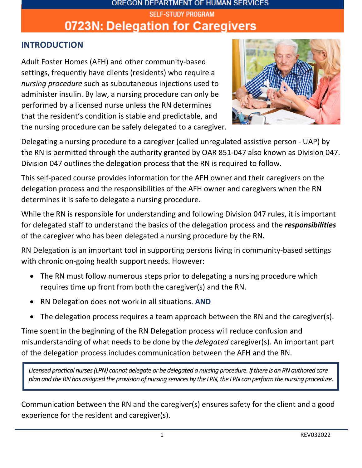# OREGON DEPARTMENT OF HUMAN SERVICES **SELF-STUDY PROGRAM** 0723N: Delegation for Caregivers

#### **INTRODUCTION**

Adult Foster Homes (AFH) and other community-based settings, frequently have clients (residents) who require a *nursing procedure* such as subcutaneous injections used to administer insulin. By law, a nursing procedure can only be performed by a licensed nurse unless the RN determines that the resident's condition is stable and predictable, and the nursing procedure can be safely delegated to a caregiver.



Delegating a nursing procedure to a caregiver (called unregulated assistive person - UAP) by the RN is permitted through the authority granted by OAR 851-047 also known as Division 047. Division 047 outlines the delegation process that the RN is required to follow.

This self-paced course provides information for the AFH owner and their caregivers on the delegation process and the responsibilities of the AFH owner and caregivers when the RN determines it is safe to delegate a nursing procedure.

While the RN is responsible for understanding and following Division 047 rules, it is important for delegated staff to understand the basics of the delegation process and the *responsibilities*  of the caregiver who has been delegated a nursing procedure by the RN*.* 

RN Delegation is an important tool in supporting persons living in community-based settings with chronic on-going health support needs. However:

- The RN must follow numerous steps prior to delegating a nursing procedure which requires time up front from both the caregiver(s) and the RN.
- RN Delegation does not work in all situations. **AND**
- The delegation process requires a team approach between the RN and the caregiver(s).

Time spent in the beginning of the RN Delegation process will reduce confusion and misunderstanding of what needs to be done by the *delegated* caregiver(s). An important part of the delegation process includes communication between the AFH and the RN.

*Licensed practical nurses (LPN) cannot delegate or be delegated a nursing procedure. If there is an RN authored care plan and the RN has assigned the provision of nursing services by the LPN, the LPN can perform the nursing procedure.*

Communication between the RN and the caregiver(s) ensures safety for the client and a good experience for the resident and caregiver(s).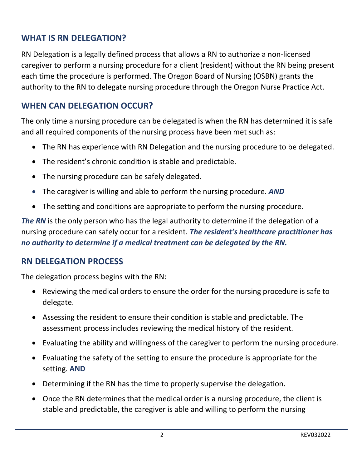### **WHAT IS RN DELEGATION?**

RN Delegation is a legally defined process that allows a RN to authorize a non-licensed caregiver to perform a nursing procedure for a client (resident) without the RN being present each time the procedure is performed. The Oregon Board of Nursing (OSBN) grants the authority to the RN to delegate nursing procedure through the Oregon Nurse Practice Act.

#### **WHEN CAN DELEGATION OCCUR?**

The only time a nursing procedure can be delegated is when the RN has determined it is safe and all required components of the nursing process have been met such as:

- The RN has experience with RN Delegation and the nursing procedure to be delegated.
- The resident's chronic condition is stable and predictable.
- The nursing procedure can be safely delegated.
- The caregiver is willing and able to perform the nursing procedure. *AND*
- The setting and conditions are appropriate to perform the nursing procedure.

**The RN** is the only person who has the legal authority to determine if the delegation of a nursing procedure can safely occur for a resident. *The resident's healthcare practitioner has no authority to determine if a medical treatment can be delegated by the RN.*

#### **RN DELEGATION PROCESS**

The delegation process begins with the RN:

- Reviewing the medical orders to ensure the order for the nursing procedure is safe to delegate.
- Assessing the resident to ensure their condition is stable and predictable. The assessment process includes reviewing the medical history of the resident.
- Evaluating the ability and willingness of the caregiver to perform the nursing procedure.
- Evaluating the safety of the setting to ensure the procedure is appropriate for the setting. **AND**
- Determining if the RN has the time to properly supervise the delegation.
- Once the RN determines that the medical order is a nursing procedure, the client is stable and predictable, the caregiver is able and willing to perform the nursing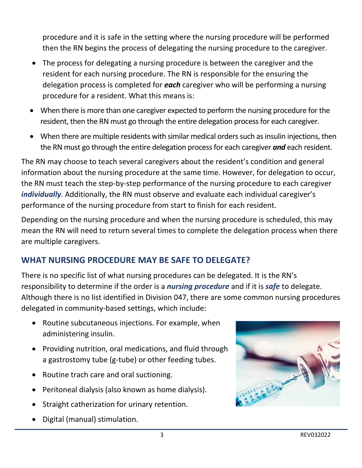procedure and it is safe in the setting where the nursing procedure will be performed then the RN begins the process of delegating the nursing procedure to the caregiver.

- The process for delegating a nursing procedure is between the caregiver and the resident for each nursing procedure. The RN is responsible for the ensuring the delegation process is completed for *each* caregiver who will be performing a nursing procedure for a resident. What this means is:
- When there is more than one caregiver expected to perform the nursing procedure for the resident, then the RN must go through the entire delegation process for each caregiver.
- When there are multiple residents with similar medical orders such as insulin injections, then the RN must go through the entire delegation process for each caregiver *and* each resident.

The RN may choose to teach several caregivers about the resident's condition and general information about the nursing procedure at the same time. However, for delegation to occur, the RN must teach the step-by-step performance of the nursing procedure to each caregiver *individually*. Additionally, the RN must observe and evaluate each individual caregiver's performance of the nursing procedure from start to finish for each resident.

Depending on the nursing procedure and when the nursing procedure is scheduled, this may mean the RN will need to return several times to complete the delegation process when there are multiple caregivers.

# **WHAT NURSING PROCEDURE MAY BE SAFE TO DELEGATE?**

There is no specific list of what nursing procedures can be delegated. It is the RN's responsibility to determine if the order is a *nursing procedure* and if it is *safe* to delegate. Although there is no list identified in Division 047, there are some common nursing procedures delegated in community-based settings, which include:

- Routine subcutaneous injections. For example, when administering insulin.
- Providing nutrition, oral medications, and fluid through a gastrostomy tube (g-tube) or other feeding tubes.
- Routine trach care and oral suctioning.
- Peritoneal dialysis (also known as home dialysis).
- Straight catherization for urinary retention.
- Digital (manual) stimulation.

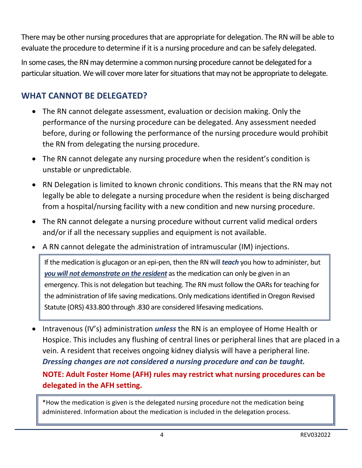There may be other nursing procedures that are appropriate for delegation. The RN will be able to evaluate the procedure to determine if it is a nursing procedure and can be safely delegated.

In some cases, the RN may determine a common nursing procedure cannot be delegated for a particular situation. We will cover more later for situations that may not be appropriate to delegate.

## **WHAT CANNOT BE DELEGATED?**

- The RN cannot delegate assessment, evaluation or decision making. Only the performance of the nursing procedure can be delegated. Any assessment needed before, during or following the performance of the nursing procedure would prohibit the RN from delegating the nursing procedure.
- The RN cannot delegate any nursing procedure when the resident's condition is unstable or unpredictable.
- RN Delegation is limited to known chronic conditions. This means that the RN may not legally be able to delegate a nursing procedure when the resident is being discharged from a hospital/nursing facility with a new condition and new nursing procedure.
- The RN cannot delegate a nursing procedure without current valid medical orders and/or if all the necessary supplies and equipment is not available.
- A RN cannot delegate the administration of intramuscular (IM) injections.

If the medication is glucagon or an epi-pen, then the RN will *teach* you how to administer, but *you will not demonstrate on the resident* as the medication can only be given in an emergency. This is not delegation but teaching. The RN must follow the OARs for teaching for the administration of life saving medications. Only medications identified in Oregon Revised Statute (ORS) 433.800 through .830 are considered lifesaving medications.

• Intravenous (IV's) administration *unless* the RN is an employee of Home Health or Hospice. This includes any flushing of central lines or peripheral lines that are placed in a vein. A resident that receives ongoing kidney dialysis will have a peripheral line. *Dressing changes are not considered a nursing procedure and can be taught.* **NOTE: Adult Foster Home (AFH) rules may restrict what nursing procedures can be delegated in the AFH setting.**

\*How the medication is given is the delegated nursing procedure not the medication being administered. Information about the medication is included in the delegation process.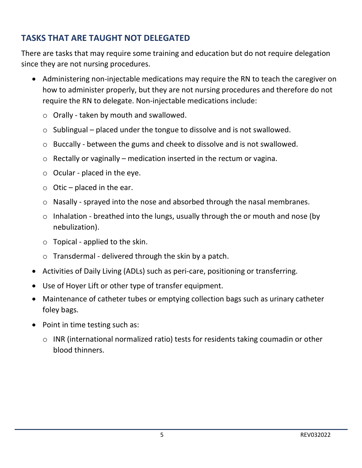## **TASKS THAT ARE TAUGHT NOT DELEGATED**

There are tasks that may require some training and education but do not require delegation since they are not nursing procedures.

- Administering non-injectable medications may require the RN to teach the caregiver on how to administer properly, but they are not nursing procedures and therefore do not require the RN to delegate. Non-injectable medications include:
	- o Orally taken by mouth and swallowed.
	- o Sublingual placed under the tongue to dissolve and is not swallowed.
	- o Buccally between the gums and cheek to dissolve and is not swallowed.
	- $\circ$  Rectally or vaginally medication inserted in the rectum or vagina.
	- $\circ$  Ocular placed in the eye.
	- $\circ$  Otic placed in the ear.
	- o Nasally sprayed into the nose and absorbed through the nasal membranes.
	- $\circ$  Inhalation breathed into the lungs, usually through the or mouth and nose (by nebulization).
	- $\circ$  Topical applied to the skin.
	- $\circ$  Transdermal delivered through the skin by a patch.
- Activities of Daily Living (ADLs) such as peri-care, positioning or transferring.
- Use of Hoyer Lift or other type of transfer equipment.
- Maintenance of catheter tubes or emptying collection bags such as urinary catheter foley bags.
- Point in time testing such as:
	- o INR (international normalized ratio) tests for residents taking coumadin or other blood thinners.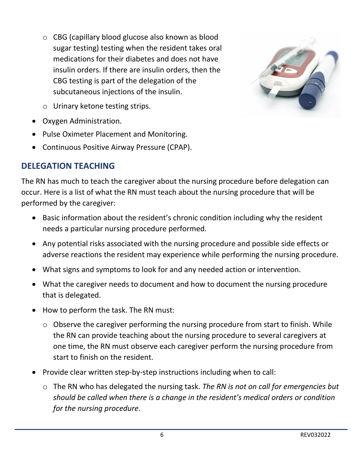o CBG (capillary blood glucose also known as blood sugar testing) testing when the resident takes oral medications for their diabetes and does not have insulin orders. If there are insulin orders, then the CBG testing is part of the delegation of the subcutaneous injections of the insulin.



- o Urinary ketone testing strips.
- Oxygen Administration.
- Pulse Oximeter Placement and Monitoring.
- Continuous Positive Airway Pressure (CPAP).

#### **DELEGATION TEACHING**

The RN has much to teach the caregiver about the nursing procedure before delegation can occur. Here is a list of what the RN must teach about the nursing procedure that will be performed by the caregiver:

- Basic information about the resident's chronic condition including why the resident needs a particular nursing procedure performed.
- Any potential risks associated with the nursing procedure and possible side effects or adverse reactions the resident may experience while performing the nursing procedure.
- What signs and symptoms to look for and any needed action or intervention.
- What the caregiver needs to document and how to document the nursing procedure that is delegated.
- How to perform the task. The RN must:
	- $\circ$  Observe the caregiver performing the nursing procedure from start to finish. While the RN can provide teaching about the nursing procedure to several caregivers at one time, the RN must observe each caregiver perform the nursing procedure from start to finish on the resident.
- Provide clear written step-by-step instructions including when to call:
	- o The RN who has delegated the nursing task. *The RN is not on call for emergencies but should be called when there is a change in the resident's medical orders or condition for the nursing procedure*.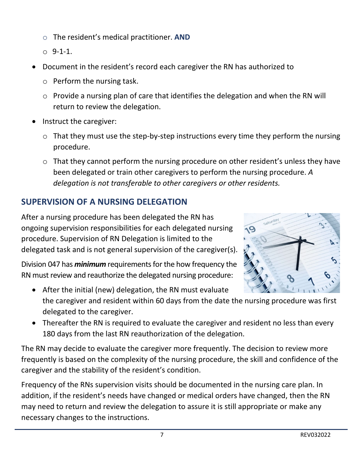- o The resident's medical practitioner. **AND**
- $O$  9-1-1.
- Document in the resident's record each caregiver the RN has authorized to
	- o Perform the nursing task.
	- o Provide a nursing plan of care that identifies the delegation and when the RN will return to review the delegation.
- Instruct the caregiver:
	- $\circ$  That they must use the step-by-step instructions every time they perform the nursing procedure.
	- o That they cannot perform the nursing procedure on other resident's unless they have been delegated or train other caregivers to perform the nursing procedure. *A delegation is not transferable to other caregivers or other residents.*

# **SUPERVISION OF A NURSING DELEGATION**

After a nursing procedure has been delegated the RN has ongoing supervision responsibilities for each delegated nursing  $\Omega$ procedure. Supervision of RN Delegation is limited to the delegated task and is not general supervision of the caregiver(s).

Division 047 has *minimum* requirements for the how frequency the RN must review and reauthorize the delegated nursing procedure:

- After the initial (new) delegation, the RN must evaluate the caregiver and resident within 60 days from the date the nursing procedure was first delegated to the caregiver.
- Thereafter the RN is required to evaluate the caregiver and resident no less than every 180 days from the last RN reauthorization of the delegation.

The RN may decide to evaluate the caregiver more frequently. The decision to review more frequently is based on the complexity of the nursing procedure, the skill and confidence of the caregiver and the stability of the resident's condition.

Frequency of the RNs supervision visits should be documented in the nursing care plan. In addition, if the resident's needs have changed or medical orders have changed, then the RN may need to return and review the delegation to assure it is still appropriate or make any necessary changes to the instructions.

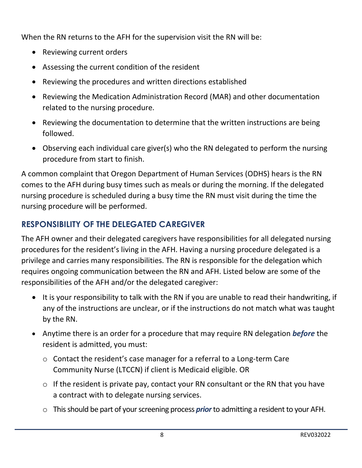When the RN returns to the AFH for the supervision visit the RN will be:

- Reviewing current orders
- Assessing the current condition of the resident
- Reviewing the procedures and written directions established
- Reviewing the Medication Administration Record (MAR) and other documentation related to the nursing procedure.
- Reviewing the documentation to determine that the written instructions are being followed.
- Observing each individual care giver(s) who the RN delegated to perform the nursing procedure from start to finish.

A common complaint that Oregon Department of Human Services (ODHS) hears is the RN comes to the AFH during busy times such as meals or during the morning. If the delegated nursing procedure is scheduled during a busy time the RN must visit during the time the nursing procedure will be performed.

## **RESPONSIBILITY OF THE DELEGATED CAREGIVER**

The AFH owner and their delegated caregivers have responsibilities for all delegated nursing procedures for the resident's living in the AFH. Having a nursing procedure delegated is a privilege and carries many responsibilities. The RN is responsible for the delegation which requires ongoing communication between the RN and AFH. Listed below are some of the responsibilities of the AFH and/or the delegated caregiver:

- It is your responsibility to talk with the RN if you are unable to read their handwriting, if any of the instructions are unclear, or if the instructions do not match what was taught by the RN.
- Anytime there is an order for a procedure that may require RN delegation *before* the resident is admitted, you must:
	- o Contact the resident's case manager for a referral to a Long-term Care Community Nurse (LTCCN) if client is Medicaid eligible. OR
	- $\circ$  If the resident is private pay, contact your RN consultant or the RN that you have a contract with to delegate nursing services.
	- o This should be part of your screening process *prior*to admitting a resident to your AFH.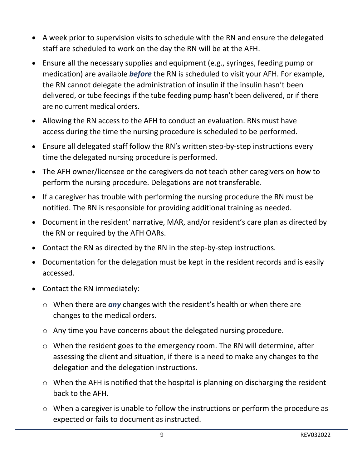- A week prior to supervision visits to schedule with the RN and ensure the delegated staff are scheduled to work on the day the RN will be at the AFH.
- Ensure all the necessary supplies and equipment (e.g., syringes, feeding pump or medication) are available *before* the RN is scheduled to visit your AFH. For example, the RN cannot delegate the administration of insulin if the insulin hasn't been delivered, or tube feedings if the tube feeding pump hasn't been delivered, or if there are no current medical orders.
- Allowing the RN access to the AFH to conduct an evaluation. RNs must have access during the time the nursing procedure is scheduled to be performed.
- Ensure all delegated staff follow the RN's written step-by-step instructions every time the delegated nursing procedure is performed.
- The AFH owner/licensee or the caregivers do not teach other caregivers on how to perform the nursing procedure. Delegations are not transferable.
- If a caregiver has trouble with performing the nursing procedure the RN must be notified. The RN is responsible for providing additional training as needed.
- Document in the resident' narrative, MAR, and/or resident's care plan as directed by the RN or required by the AFH OARs.
- Contact the RN as directed by the RN in the step-by-step instructions.
- Documentation for the delegation must be kept in the resident records and is easily accessed.
- Contact the RN immediately:
	- o When there are *any* changes with the resident's health or when there are changes to the medical orders.
	- o Any time you have concerns about the delegated nursing procedure.
	- o When the resident goes to the emergency room. The RN will determine, after assessing the client and situation, if there is a need to make any changes to the delegation and the delegation instructions.
	- o When the AFH is notified that the hospital is planning on discharging the resident back to the AFH.
	- o When a caregiver is unable to follow the instructions or perform the procedure as expected or fails to document as instructed.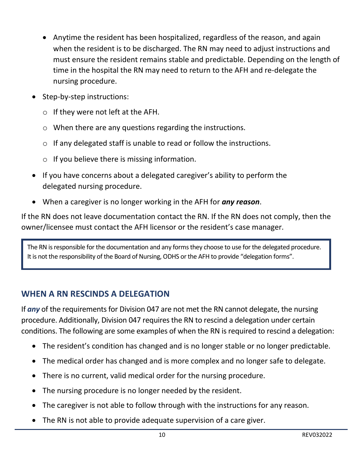- Anytime the resident has been hospitalized, regardless of the reason, and again when the resident is to be discharged. The RN may need to adjust instructions and must ensure the resident remains stable and predictable. Depending on the length of time in the hospital the RN may need to return to the AFH and re-delegate the nursing procedure.
- Step-by-step instructions:
	- o If they were not left at the AFH.
	- o When there are any questions regarding the instructions.
	- o If any delegated staff is unable to read or follow the instructions.
	- $\circ$  If you believe there is missing information.
- If you have concerns about a delegated caregiver's ability to perform the delegated nursing procedure.
- When a caregiver is no longer working in the AFH for *any reason*.

If the RN does not leave documentation contact the RN. If the RN does not comply, then the owner/licensee must contact the AFH licensor or the resident's case manager.

The RN is responsible for the documentation and any forms they choose to use for the delegated procedure. It is not the responsibility of the Board of Nursing, ODHS or the AFH to provide "delegation forms".

## **WHEN A RN RESCINDS A DELEGATION**

If *any* of the requirements for Division 047 are not met the RN cannot delegate, the nursing procedure. Additionally, Division 047 requires the RN to rescind a delegation under certain conditions. The following are some examples of when the RN is required to rescind a delegation:

- The resident's condition has changed and is no longer stable or no longer predictable.
- The medical order has changed and is more complex and no longer safe to delegate.
- There is no current, valid medical order for the nursing procedure.
- The nursing procedure is no longer needed by the resident.
- The caregiver is not able to follow through with the instructions for any reason.
- The RN is not able to provide adequate supervision of a care giver.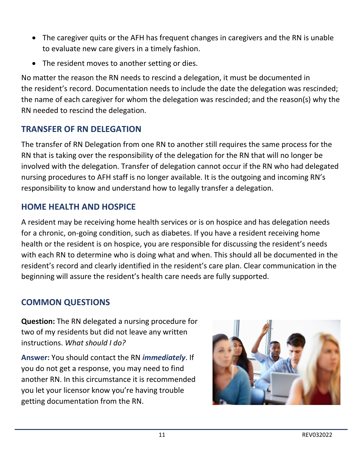- The caregiver quits or the AFH has frequent changes in caregivers and the RN is unable to evaluate new care givers in a timely fashion.
- The resident moves to another setting or dies.

No matter the reason the RN needs to rescind a delegation, it must be documented in the resident's record. Documentation needs to include the date the delegation was rescinded; the name of each caregiver for whom the delegation was rescinded; and the reason(s) why the RN needed to rescind the delegation.

## **TRANSFER OF RN DELEGATION**

The transfer of RN Delegation from one RN to another still requires the same process for the RN that is taking over the responsibility of the delegation for the RN that will no longer be involved with the delegation. Transfer of delegation cannot occur if the RN who had delegated nursing procedures to AFH staff is no longer available. It is the outgoing and incoming RN's responsibility to know and understand how to legally transfer a delegation.

## **HOME HEALTH AND HOSPICE**

A resident may be receiving home health services or is on hospice and has delegation needs for a chronic, on-going condition, such as diabetes. If you have a resident receiving home health or the resident is on hospice, you are responsible for discussing the resident's needs with each RN to determine who is doing what and when. This should all be documented in the resident's record and clearly identified in the resident's care plan. Clear communication in the beginning will assure the resident's health care needs are fully supported.

## **COMMON QUESTIONS**

**Question:** The RN delegated a nursing procedure for two of my residents but did not leave any written instructions. *What should I do?*

**Answer:** You should contact the RN *immediately*. If you do not get a response, you may need to find another RN. In this circumstance it is recommended you let your licensor know you're having trouble getting documentation from the RN.

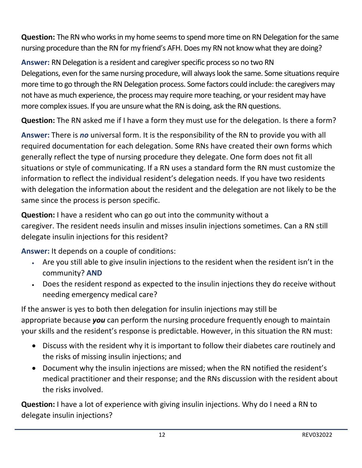**Question:** The RN who works in my home seems to spend more time on RN Delegation for the same nursing procedure than the RN for my friend's AFH. Does my RN not know what they are doing?

**Answer:** RN Delegation is a resident and caregiver specific process so no two RN Delegations, even for the same nursing procedure, will always look the same. Some situations require more time to go through the RN Delegation process. Some factors could include: the caregivers may not have as much experience, the process may require more teaching, or your resident may have more complex issues. If you are unsure what the RN is doing, ask the RN questions.

**Question:** The RN asked me if I have a form they must use for the delegation. Is there a form?

**Answer:** There is *no* universal form. It is the responsibility of the RN to provide you with all required documentation for each delegation. Some RNs have created their own forms which generally reflect the type of nursing procedure they delegate. One form does not fit all situations or style of communicating. If a RN uses a standard form the RN must customize the information to reflect the individual resident's delegation needs. If you have two residents with delegation the information about the resident and the delegation are not likely to be the same since the process is person specific.

**Question:** I have a resident who can go out into the community without a caregiver. The resident needs insulin and misses insulin injections sometimes. Can a RN still delegate insulin injections for this resident?

**Answer:** It depends on a couple of conditions:

- Are you still able to give insulin injections to the resident when the resident isn't in the community? **AND**
- Does the resident respond as expected to the insulin injections they do receive without needing emergency medical care?

If the answer is yes to both then delegation for insulin injections may still be appropriate because *you* can perform the nursing procedure frequently enough to maintain your skills and the resident's response is predictable. However, in this situation the RN must:

- Discuss with the resident why it is important to follow their diabetes care routinely and the risks of missing insulin injections; and
- Document why the insulin injections are missed; when the RN notified the resident's medical practitioner and their response; and the RNs discussion with the resident about the risks involved.

**Question:** I have a lot of experience with giving insulin injections. Why do I need a RN to delegate insulin injections?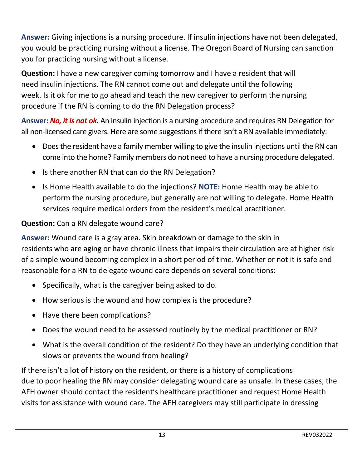**Answer:** Giving injections is a nursing procedure. If insulin injections have not been delegated, you would be practicing nursing without a license. The Oregon Board of Nursing can sanction you for practicing nursing without a license.

**Question:** I have a new caregiver coming tomorrow and I have a resident that will need insulin injections. The RN cannot come out and delegate until the following week. Is it ok for me to go ahead and teach the new caregiver to perform the nursing procedure if the RN is coming to do the RN Delegation process?

**Answer:** *No, it is not ok.* An insulin injection is a nursing procedure and requires RN Delegation for all non-licensed care givers. Here are some suggestions if there isn't a RN available immediately:

- Does the resident have a family member willing to give the insulin injections until the RN can come into the home? Family members do not need to have a nursing procedure delegated.
- Is there another RN that can do the RN Delegation?
- Is Home Health available to do the injections? **NOTE:** Home Health may be able to perform the nursing procedure, but generally are not willing to delegate. Home Health services require medical orders from the resident's medical practitioner.

#### **Question:** Can a RN delegate wound care?

**Answer:** Wound care is a gray area. Skin breakdown or damage to the skin in residents who are aging or have chronic illness that impairs their circulation are at higher risk of a simple wound becoming complex in a short period of time. Whether or not it is safe and reasonable for a RN to delegate wound care depends on several conditions:

- Specifically, what is the caregiver being asked to do.
- How serious is the wound and how complex is the procedure?
- Have there been complications?
- Does the wound need to be assessed routinely by the medical practitioner or RN?
- What is the overall condition of the resident? Do they have an underlying condition that slows or prevents the wound from healing?

If there isn't a lot of history on the resident, or there is a history of complications due to poor healing the RN may consider delegating wound care as unsafe. In these cases, the AFH owner should contact the resident's healthcare practitioner and request Home Health visits for assistance with wound care. The AFH caregivers may still participate in dressing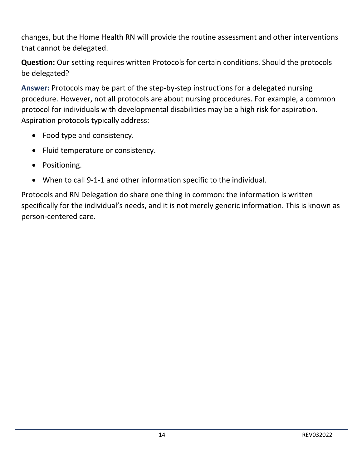changes, but the Home Health RN will provide the routine assessment and other interventions that cannot be delegated.

**Question:** Our setting requires written Protocols for certain conditions. Should the protocols be delegated?

**Answer:** Protocols may be part of the step-by-step instructions for a delegated nursing procedure. However, not all protocols are about nursing procedures. For example, a common protocol for individuals with developmental disabilities may be a high risk for aspiration. Aspiration protocols typically address:

- Food type and consistency.
- Fluid temperature or consistency.
- Positioning.
- When to call 9-1-1 and other information specific to the individual.

Protocols and RN Delegation do share one thing in common: the information is written specifically for the individual's needs, and it is not merely generic information. This is known as person-centered care.